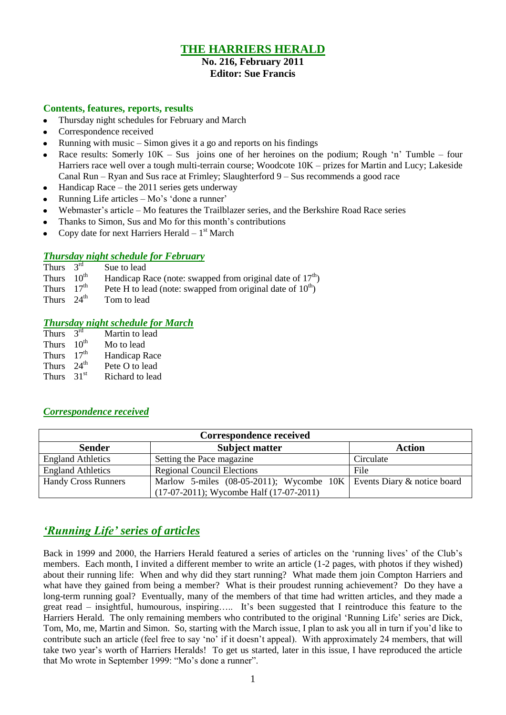## **THE HARRIERS HERALD**

### **No. 216, February 2011 Editor: Sue Francis**

### **Contents, features, reports, results**

- Thursday night schedules for February and March  $\bullet$
- Correspondence received
- Running with music Simon gives it a go and reports on his findings
- Race results: Somerly  $10K Sus$  joins one of her heroines on the podium; Rough 'n' Tumble four Harriers race well over a tough multi-terrain course; Woodcote 10K – prizes for Martin and Lucy; Lakeside Canal Run – Ryan and Sus race at Frimley; Slaughterford 9 – Sus recommends a good race
- Handicap Race the 2011 series gets underway  $\bullet$
- Running Life articles Mo"s "done a runner"
- Webmaster's article Mo features the Trailblazer series, and the Berkshire Road Race series
- Thanks to Simon, Sus and Mo for this month's contributions
- Copy date for next Harriers Herald  $-1$ <sup>st</sup> March

### *Thursday night schedule for February*

| Thurs $3rd$            | Sue to lead                                                     |
|------------------------|-----------------------------------------------------------------|
| Thurs $10^{th}$        | Handicap Race (note: swapped from original date of $17th$ )     |
| Thurs $17th$           | Pete H to lead (note: swapped from original date of $10^{th}$ ) |
| Thurs $24^{\text{th}}$ | Tom to load                                                     |

Thurs  $24^{\mathrm{m}}$  Tom to lead

### *Thursday night schedule for March*

| <b>Thurs</b> | $2^{\text{rd}}$  | Martin to lead  |
|--------------|------------------|-----------------|
| <b>Thurs</b> | $10^{th}$        | Mo to lead      |
| <b>Thurs</b> | 17 <sup>th</sup> | Handicap Race   |
| <b>Thurs</b> | $24^{\text{th}}$ | Pete O to lead  |
| <b>Thurs</b> | 31 <sup>st</sup> | Richard to lead |

### *Correspondence received*

| Correspondence received    |                                                                        |               |  |  |  |  |
|----------------------------|------------------------------------------------------------------------|---------------|--|--|--|--|
| <b>Sender</b>              | <b>Subject matter</b>                                                  | <b>Action</b> |  |  |  |  |
| <b>England Athletics</b>   | Setting the Pace magazine                                              | Circulate     |  |  |  |  |
| <b>England Athletics</b>   | <b>Regional Council Elections</b>                                      | File          |  |  |  |  |
| <b>Handy Cross Runners</b> | Marlow 5-miles (08-05-2011); Wycombe $10K$ Events Diary & notice board |               |  |  |  |  |
|                            | $(17-07-2011)$ ; Wycombe Half $(17-07-2011)$                           |               |  |  |  |  |

## *'Running Life' series of articles*

Back in 1999 and 2000, the Harriers Herald featured a series of articles on the "running lives" of the Club"s members. Each month, I invited a different member to write an article (1-2 pages, with photos if they wished) about their running life: When and why did they start running? What made them join Compton Harriers and what have they gained from being a member? What is their proudest running achievement? Do they have a long-term running goal? Eventually, many of the members of that time had written articles, and they made a great read – insightful, humourous, inspiring….. It's been suggested that I reintroduce this feature to the Harriers Herald. The only remaining members who contributed to the original 'Running Life' series are Dick, Tom, Mo, me, Martin and Simon. So, starting with the March issue, I plan to ask you all in turn if you"d like to contribute such an article (feel free to say 'no' if it doesn't appeal). With approximately 24 members, that will take two year's worth of Harriers Heralds! To get us started, later in this issue, I have reproduced the article that Mo wrote in September 1999: "Mo"s done a runner".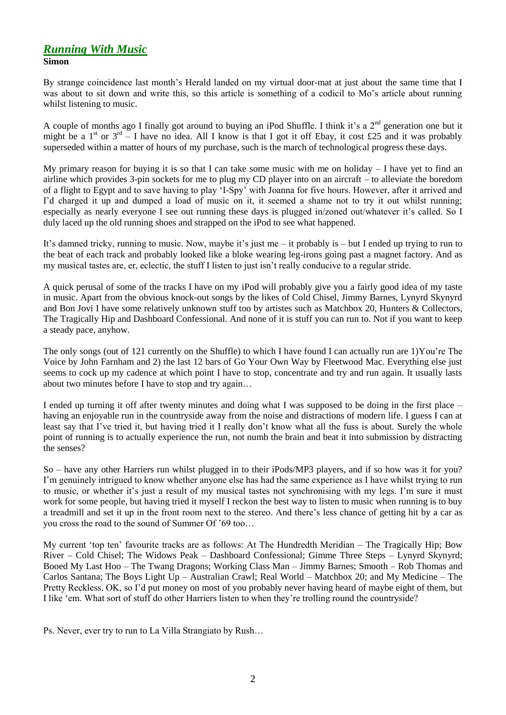### *Running With Music* **Simon**

By strange coincidence last month"s Herald landed on my virtual door-mat at just about the same time that I was about to sit down and write this, so this article is something of a codicil to Mo"s article about running whilst listening to music.

A couple of months ago I finally got around to buying an iPod Shuffle. I think it's a  $2<sup>nd</sup>$  generation one but it might be a 1<sup>st</sup> or  $3^{rd}$  – I have no idea. All I know is that I got it off Ebay, it cost £25 and it was probably superseded within a matter of hours of my purchase, such is the march of technological progress these days.

My primary reason for buying it is so that I can take some music with me on holiday  $-1$  have yet to find an airline which provides 3-pin sockets for me to plug my CD player into on an aircraft – to alleviate the boredom of a flight to Egypt and to save having to play "I-Spy" with Joanna for five hours. However, after it arrived and I"d charged it up and dumped a load of music on it, it seemed a shame not to try it out whilst running; especially as nearly everyone I see out running these days is plugged in/zoned out/whatever it's called. So I duly laced up the old running shoes and strapped on the iPod to see what happened.

It's damned tricky, running to music. Now, maybe it's just me – it probably is – but I ended up trying to run to the beat of each track and probably looked like a bloke wearing leg-irons going past a magnet factory. And as my musical tastes are, er, eclectic, the stuff I listen to just isn"t really conducive to a regular stride.

A quick perusal of some of the tracks I have on my iPod will probably give you a fairly good idea of my taste in music. Apart from the obvious knock-out songs by the likes of Cold Chisel, Jimmy Barnes, Lynyrd Skynyrd and Bon Jovi I have some relatively unknown stuff too by artistes such as Matchbox 20, Hunters & Collectors, The Tragically Hip and Dashboard Confessional. And none of it is stuff you can run to. Not if you want to keep a steady pace, anyhow.

The only songs (out of 121 currently on the Shuffle) to which I have found I can actually run are 1)You"re The Voice by John Farnham and 2) the last 12 bars of Go Your Own Way by Fleetwood Mac. Everything else just seems to cock up my cadence at which point I have to stop, concentrate and try and run again. It usually lasts about two minutes before I have to stop and try again…

I ended up turning it off after twenty minutes and doing what I was supposed to be doing in the first place – having an enjoyable run in the countryside away from the noise and distractions of modern life. I guess I can at least say that I"ve tried it, but having tried it I really don"t know what all the fuss is about. Surely the whole point of running is to actually experience the run, not numb the brain and beat it into submission by distracting the senses?

So – have any other Harriers run whilst plugged in to their iPods/MP3 players, and if so how was it for you? I"m genuinely intrigued to know whether anyone else has had the same experience as I have whilst trying to run to music, or whether it"s just a result of my musical tastes not synchronising with my legs. I"m sure it must work for some people, but having tried it myself I reckon the best way to listen to music when running is to buy a treadmill and set it up in the front room next to the stereo. And there"s less chance of getting hit by a car as you cross the road to the sound of Summer Of "69 too…

My current "top ten" favourite tracks are as follows: At The Hundredth Meridian – The Tragically Hip; Bow River – Cold Chisel; The Widows Peak – Dashboard Confessional; Gimme Three Steps – Lynyrd Skynyrd; Booed My Last Hoo – The Twang Dragons; Working Class Man – Jimmy Barnes; Smooth – Rob Thomas and Carlos Santana; The Boys Light Up – Australian Crawl; Real World – Matchbox 20; and My Medicine – The Pretty Reckless. OK, so I"d put money on most of you probably never having heard of maybe eight of them, but I like "em. What sort of stuff do other Harriers listen to when they"re trolling round the countryside?

Ps. Never, ever try to run to La Villa Strangiato by Rush…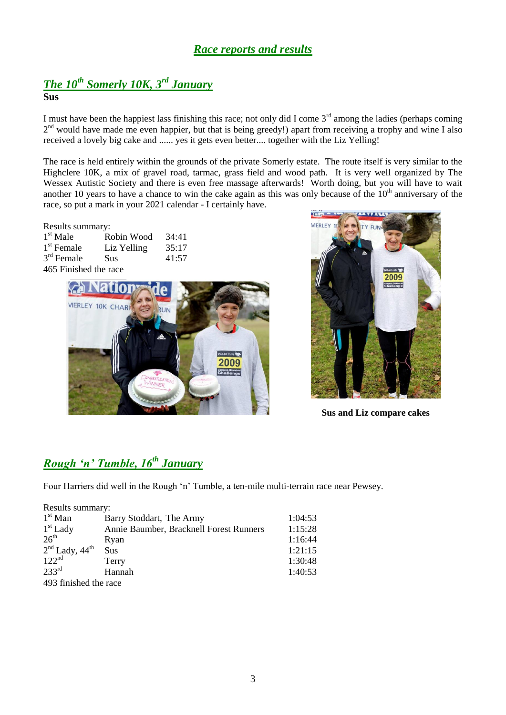## *Race reports and results*

### *The 10th Somerly 10K, 3rd January* **Sus**

I must have been the happiest lass finishing this race; not only did I come  $3^{rd}$  among the ladies (perhaps coming 2<sup>nd</sup> would have made me even happier, but that is being greedy!) apart from receiving a trophy and wine I also received a lovely big cake and ...... yes it gets even better.... together with the Liz Yelling!

The race is held entirely within the grounds of the private Somerly estate. The route itself is very similar to the Highclere 10K, a mix of gravel road, tarmac, grass field and wood path. It is very well organized by The Wessex Autistic Society and there is even free massage afterwards! Worth doing, but you will have to wait another 10 years to have a chance to win the cake again as this was only because of the  $10<sup>th</sup>$  anniversary of the race, so put a mark in your 2021 calendar - I certainly have.

#### Results summary:

| $1st$ Male   | Robin Wood  | 34:41 |
|--------------|-------------|-------|
| $1st$ Female | Liz Yelling | 35:17 |
| $3rd$ Female | Sus         | 41:57 |
|              |             |       |

### 465 Finished the race





### **Sus and Liz compare cakes**

# *Rough 'n' Tumble, 16th January*

Four Harriers did well in the Rough "n" Tumble, a ten-mile multi-terrain race near Pewsey.

| Results summary:             |                                         |         |  |  |  |
|------------------------------|-----------------------------------------|---------|--|--|--|
| $1st$ Man                    | Barry Stoddart, The Army                | 1:04:53 |  |  |  |
| $1st$ Lady                   | Annie Baumber, Bracknell Forest Runners | 1:15:28 |  |  |  |
| 26 <sup>th</sup>             | Ryan                                    | 1:16:44 |  |  |  |
| $2nd$ Lady, 44 <sup>th</sup> | Sus                                     | 1:21:15 |  |  |  |
| 122 <sup>nd</sup>            | Terry                                   | 1:30:48 |  |  |  |
| 233 <sup>rd</sup>            | Hannah                                  | 1:40:53 |  |  |  |
| 493 finished the race        |                                         |         |  |  |  |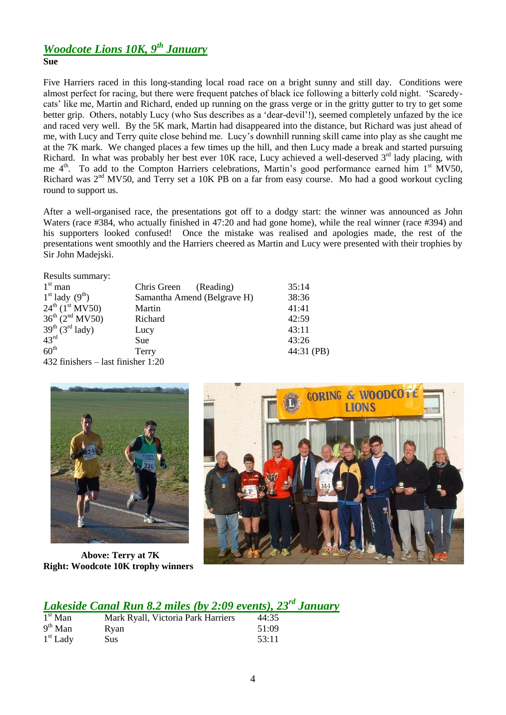## *Woodcote Lions 10K, 9th January*

### **Sue**

Five Harriers raced in this long-standing local road race on a bright sunny and still day. Conditions were almost perfect for racing, but there were frequent patches of black ice following a bitterly cold night. "Scaredycats" like me, Martin and Richard, ended up running on the grass verge or in the gritty gutter to try to get some better grip. Others, notably Lucy (who Sus describes as a "dear-devil"!), seemed completely unfazed by the ice and raced very well. By the 5K mark, Martin had disappeared into the distance, but Richard was just ahead of me, with Lucy and Terry quite close behind me. Lucy"s downhill running skill came into play as she caught me at the 7K mark. We changed places a few times up the hill, and then Lucy made a break and started pursuing Richard. In what was probably her best ever  $10K$  race, Lucy achieved a well-deserved  $3<sup>rd</sup>$  lady placing, with me 4<sup>th</sup>. To add to the Compton Harriers celebrations, Martin's good performance earned him 1<sup>st</sup> MV50, Richard was  $2<sup>nd</sup> MV50$ , and Terry set a 10K PB on a far from easy course. Mo had a good workout cycling round to support us.

After a well-organised race, the presentations got off to a dodgy start: the winner was announced as John Waters (race #384, who actually finished in 47:20 and had gone home), while the real winner (race #394) and his supporters looked confused! Once the mistake was realised and apologies made, the rest of the presentations went smoothly and the Harriers cheered as Martin and Lucy were presented with their trophies by Sir John Madejski.

| Results summary:                       |                             |            |
|----------------------------------------|-----------------------------|------------|
| $1st$ man                              | Chris Green<br>(Reading)    | 35:14      |
| $1st$ lady $(9th)$                     | Samantha Amend (Belgrave H) | 38:36      |
| $24^{th}$ (1 <sup>st</sup> MV50)       | Martin                      | 41:41      |
| $36^{th}$ (2 <sup>nd</sup> MV50)       | Richard                     | 42:59      |
| $39th$ (3 <sup>rd</sup> lady)          | Lucy                        | 43:11      |
| 43 <sup>rd</sup>                       | Sue                         | 43:26      |
| 60 <sup>th</sup>                       | Terry                       | 44:31 (PB) |
| $432$ finishers $-$ last finisher 1:20 |                             |            |



 **Above: Terry at 7K Right: Woodcote 10K trophy winners**



# *Lakeside Canal Run 8.2 miles (by 2:09 events), 23rd January*

| $1st$ Man  | Mark Ryall, Victoria Park Harriers | 44:35 |
|------------|------------------------------------|-------|
| $9th$ Man  | Rvan                               | 51:09 |
| $1st$ Lady | <b>Sus</b>                         | 53:11 |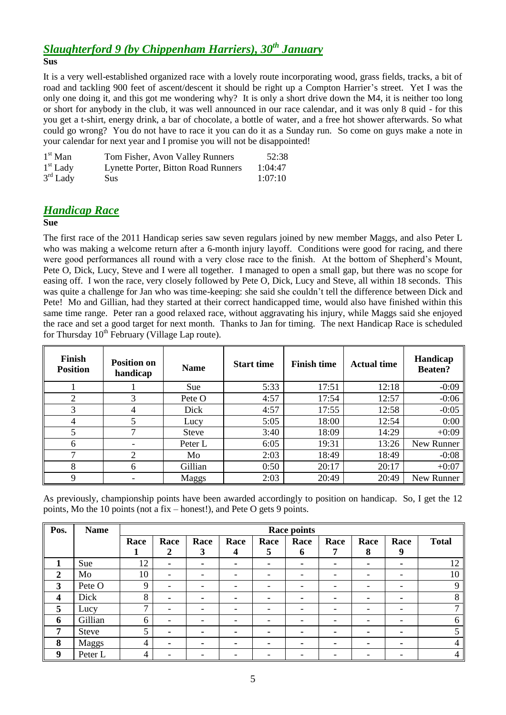# *Slaughterford 9 (by Chippenham Harriers), 30th January*

**Sus**

It is a very well-established organized race with a lovely route incorporating wood, grass fields, tracks, a bit of road and tackling 900 feet of ascent/descent it should be right up a Compton Harrier's street. Yet I was the only one doing it, and this got me wondering why? It is only a short drive down the M4, it is neither too long or short for anybody in the club, it was well announced in our race calendar, and it was only 8 quid - for this you get a t-shirt, energy drink, a bar of chocolate, a bottle of water, and a free hot shower afterwards. So what could go wrong? You do not have to race it you can do it as a Sunday run. So come on guys make a note in your calendar for next year and I promise you will not be disappointed!

| $1st$ Man  | Tom Fisher, Avon Valley Runners            | 52:38   |
|------------|--------------------------------------------|---------|
| $1st$ Lady | <b>Lynette Porter, Bitton Road Runners</b> | 1:04:47 |
| $3rd$ Lady | Sus:                                       | 1:07:10 |

## *Handicap Race*

### **Sue**

The first race of the 2011 Handicap series saw seven regulars joined by new member Maggs, and also Peter L who was making a welcome return after a 6-month injury layoff. Conditions were good for racing, and there were good performances all round with a very close race to the finish. At the bottom of Shepherd"s Mount, Pete O, Dick, Lucy, Steve and I were all together. I managed to open a small gap, but there was no scope for easing off. I won the race, very closely followed by Pete O, Dick, Lucy and Steve, all within 18 seconds. This was quite a challenge for Jan who was time-keeping: she said she couldn"t tell the difference between Dick and Pete! Mo and Gillian, had they started at their correct handicapped time, would also have finished within this same time range. Peter ran a good relaxed race, without aggravating his injury, while Maggs said she enjoyed the race and set a good target for next month. Thanks to Jan for timing. The next Handicap Race is scheduled for Thursday 10<sup>th</sup> February (Village Lap route).

| Finish<br><b>Position</b> | <b>Position on</b><br>handicap | <b>Name</b>   | <b>Start time</b> | <b>Finish time</b> | <b>Actual time</b> | Handicap<br><b>Beaten?</b> |
|---------------------------|--------------------------------|---------------|-------------------|--------------------|--------------------|----------------------------|
|                           |                                | Sue           | 5:33              | 17:51              | 12:18              | $-0:09$                    |
| 2                         |                                | Pete $\Omega$ | 4:57              | 17:54              | 12:57              | $-0:06$                    |
| 3                         | 4                              | Dick          | 4:57              | 17:55              | 12:58              | $-0:05$                    |
| 4                         |                                | Lucy          | 5:05              | 18:00              | 12:54              | 0:00                       |
| 5                         |                                | <b>Steve</b>  | 3:40              | 18:09              | 14:29              | $+0:09$                    |
| 6                         |                                | Peter L       | 6:05              | 19:31              | 13:26              | New Runner                 |
| ┑                         | 2                              | Mo            | 2:03              | 18:49              | 18:49              | $-0:08$                    |
| 8                         | 6                              | Gillian       | 0:50              | 20:17              | 20:17              | $+0:07$                    |
| 9                         |                                | Maggs         | 2:03              | 20:49              | 20:49              | New Runner                 |

As previously, championship points have been awarded accordingly to position on handicap. So, I get the 12 points, Mo the 10 points (not a fix – honest!), and Pete O gets 9 points.

| Pos.                    | <b>Name</b>  |              | Race points              |      |      |      |      |                          |                          |                          |              |
|-------------------------|--------------|--------------|--------------------------|------|------|------|------|--------------------------|--------------------------|--------------------------|--------------|
|                         |              | Race         | Race                     | Race | Race | Race | Race | Race                     | Race                     | Race                     | <b>Total</b> |
|                         |              |              | 2                        | 3    | 4    | 5    | 6    | 7                        | 8                        | 9                        |              |
| 1                       | Sue          | 12           | ٠                        | ۰    |      | ۰    |      | $\blacksquare$           | ۰                        | $\blacksquare$           | 12           |
| $\overline{2}$          | Mo           | 10           | -                        |      |      |      |      |                          | $\overline{\phantom{0}}$ | -                        | 10           |
| $\overline{\mathbf{3}}$ | Pete O       | 9            | $\overline{\phantom{a}}$ |      |      |      |      |                          | $\overline{\phantom{0}}$ | $\overline{\phantom{a}}$ | 9            |
| $\boldsymbol{4}$        | Dick         | 8            | ۰                        |      | ٠    |      |      |                          |                          | $\blacksquare$           | 8            |
| 5                       | Lucy         | $\mathbf{r}$ | $\overline{\phantom{a}}$ | -    |      |      |      |                          | $\overline{\phantom{0}}$ | $\overline{\phantom{a}}$ | ⇁            |
| 6                       | Gillian      | 6            | $\overline{\phantom{a}}$ | -    | -    |      |      | $\overline{\phantom{0}}$ | $\overline{\phantom{a}}$ | $\overline{\phantom{a}}$ | 6            |
| 7                       | <b>Steve</b> | 5            | ۰                        | ۰    | ٠    |      |      | -                        | ۰                        | $\blacksquare$           |              |
| 8                       | Maggs        | 4            | ۰.                       |      | -    | -    |      |                          | ۰                        |                          | 4            |
| 9                       | Peter L      | 4            |                          |      |      |      |      |                          |                          | -                        | 4            |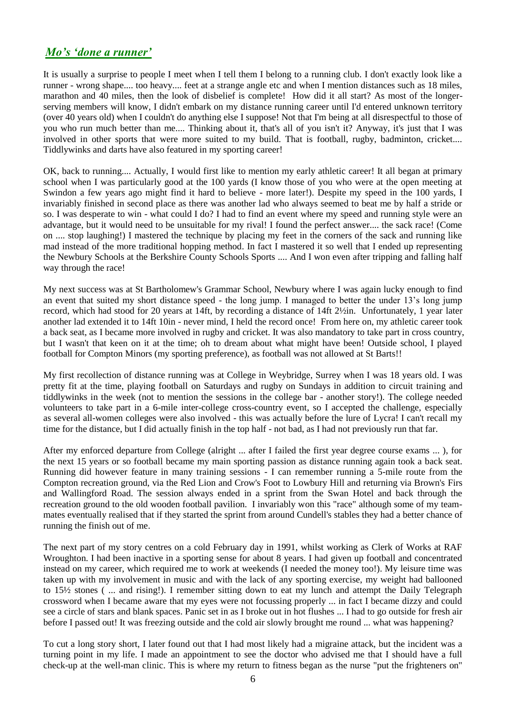## *Mo's 'done a runner'*

It is usually a surprise to people I meet when I tell them I belong to a running club. I don't exactly look like a runner - wrong shape.... too heavy.... feet at a strange angle etc and when I mention distances such as 18 miles, marathon and 40 miles, then the look of disbelief is complete! How did it all start? As most of the longerserving members will know, I didn't embark on my distance running career until I'd entered unknown territory (over 40 years old) when I couldn't do anything else I suppose! Not that I'm being at all disrespectful to those of you who run much better than me.... Thinking about it, that's all of you isn't it? Anyway, it's just that I was involved in other sports that were more suited to my build. That is football, rugby, badminton, cricket.... Tiddlywinks and darts have also featured in my sporting career!

OK, back to running.... Actually, I would first like to mention my early athletic career! It all began at primary school when I was particularly good at the 100 yards (I know those of you who were at the open meeting at Swindon a few years ago might find it hard to believe - more later!). Despite my speed in the 100 yards, I invariably finished in second place as there was another lad who always seemed to beat me by half a stride or so. I was desperate to win - what could I do? I had to find an event where my speed and running style were an advantage, but it would need to be unsuitable for my rival! I found the perfect answer.... the sack race! (Come on .... stop laughing!) I mastered the technique by placing my feet in the corners of the sack and running like mad instead of the more traditional hopping method. In fact I mastered it so well that I ended up representing the Newbury Schools at the Berkshire County Schools Sports .... And I won even after tripping and falling half way through the race!

My next success was at St Bartholomew's Grammar School, Newbury where I was again lucky enough to find an event that suited my short distance speed - the long jump. I managed to better the under 13"s long jump record, which had stood for 20 years at 14ft, by recording a distance of 14ft 2½in. Unfortunately, 1 year later another lad extended it to 14ft 10in - never mind, I held the record once! From here on, my athletic career took a back seat, as I became more involved in rugby and cricket. It was also mandatory to take part in cross country, but I wasn't that keen on it at the time; oh to dream about what might have been! Outside school, I played football for Compton Minors (my sporting preference), as football was not allowed at St Barts!!

My first recollection of distance running was at College in Weybridge, Surrey when I was 18 years old. I was pretty fit at the time, playing football on Saturdays and rugby on Sundays in addition to circuit training and tiddlywinks in the week (not to mention the sessions in the college bar - another story!). The college needed volunteers to take part in a 6-mile inter-college cross-country event, so I accepted the challenge, especially as several all-women colleges were also involved - this was actually before the lure of Lycra! I can't recall my time for the distance, but I did actually finish in the top half - not bad, as I had not previously run that far.

After my enforced departure from College (alright ... after I failed the first year degree course exams ... ), for the next 15 years or so football became my main sporting passion as distance running again took a back seat. Running did however feature in many training sessions - I can remember running a 5-mile route from the Compton recreation ground, via the Red Lion and Crow's Foot to Lowbury Hill and returning via Brown's Firs and Wallingford Road. The session always ended in a sprint from the Swan Hotel and back through the recreation ground to the old wooden football pavilion. I invariably won this "race" although some of my teammates eventually realised that if they started the sprint from around Cundell's stables they had a better chance of running the finish out of me.

The next part of my story centres on a cold February day in 1991, whilst working as Clerk of Works at RAF Wroughton. I had been inactive in a sporting sense for about 8 years. I had given up football and concentrated instead on my career, which required me to work at weekends (I needed the money too!). My leisure time was taken up with my involvement in music and with the lack of any sporting exercise, my weight had ballooned to 15½ stones ( ... and rising!). I remember sitting down to eat my lunch and attempt the Daily Telegraph crossword when I became aware that my eyes were not focussing properly ... in fact I became dizzy and could see a circle of stars and blank spaces. Panic set in as I broke out in hot flushes ... I had to go outside for fresh air before I passed out! It was freezing outside and the cold air slowly brought me round ... what was happening?

To cut a long story short, I later found out that I had most likely had a migraine attack, but the incident was a turning point in my life. I made an appointment to see the doctor who advised me that I should have a full check-up at the well-man clinic. This is where my return to fitness began as the nurse "put the frighteners on"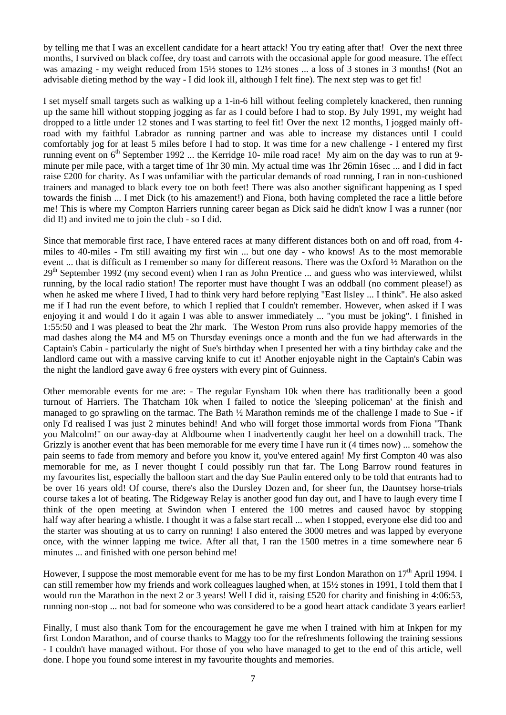by telling me that I was an excellent candidate for a heart attack! You try eating after that! Over the next three months, I survived on black coffee, dry toast and carrots with the occasional apple for good measure. The effect was amazing - my weight reduced from  $15\frac{1}{2}$  stones to  $12\frac{1}{2}$  stones ... a loss of 3 stones in 3 months! (Not an advisable dieting method by the way - I did look ill, although I felt fine). The next step was to get fit!

I set myself small targets such as walking up a 1-in-6 hill without feeling completely knackered, then running up the same hill without stopping jogging as far as I could before I had to stop. By July 1991, my weight had dropped to a little under 12 stones and I was starting to feel fit! Over the next 12 months, I jogged mainly offroad with my faithful Labrador as running partner and was able to increase my distances until I could comfortably jog for at least 5 miles before I had to stop. It was time for a new challenge - I entered my first running event on 6<sup>th</sup> September 1992 ... the Kerridge 10- mile road race! My aim on the day was to run at 9minute per mile pace, with a target time of 1hr 30 min. My actual time was 1hr 26min 16sec ... and I did in fact raise £200 for charity. As I was unfamiliar with the particular demands of road running, I ran in non-cushioned trainers and managed to black every toe on both feet! There was also another significant happening as I sped towards the finish ... I met Dick (to his amazement!) and Fiona, both having completed the race a little before me! This is where my Compton Harriers running career began as Dick said he didn't know I was a runner (nor did I!) and invited me to join the club - so I did.

Since that memorable first race, I have entered races at many different distances both on and off road, from 4 miles to 40-miles - I'm still awaiting my first win ... but one day - who knows! As to the most memorable event ... that is difficult as I remember so many for different reasons. There was the Oxford ½ Marathon on the  $29<sup>th</sup>$  September 1992 (my second event) when I ran as John Prentice ... and guess who was interviewed, whilst running, by the local radio station! The reporter must have thought I was an oddball (no comment please!) as when he asked me where I lived, I had to think very hard before replying "East Ilsley ... I think". He also asked me if I had run the event before, to which I replied that I couldn't remember. However, when asked if I was enjoying it and would I do it again I was able to answer immediately ... "you must be joking". I finished in 1:55:50 and I was pleased to beat the 2hr mark. The Weston Prom runs also provide happy memories of the mad dashes along the M4 and M5 on Thursday evenings once a month and the fun we had afterwards in the Captain's Cabin - particularly the night of Sue's birthday when I presented her with a tiny birthday cake and the landlord came out with a massive carving knife to cut it! Another enjoyable night in the Captain's Cabin was the night the landlord gave away 6 free oysters with every pint of Guinness.

Other memorable events for me are: - The regular Eynsham 10k when there has traditionally been a good turnout of Harriers. The Thatcham 10k when I failed to notice the 'sleeping policeman' at the finish and managed to go sprawling on the tarmac. The Bath ½ Marathon reminds me of the challenge I made to Sue - if only I'd realised I was just 2 minutes behind! And who will forget those immortal words from Fiona "Thank you Malcolm!" on our away-day at Aldbourne when I inadvertently caught her heel on a downhill track. The Grizzly is another event that has been memorable for me every time I have run it (4 times now) ... somehow the pain seems to fade from memory and before you know it, you've entered again! My first Compton 40 was also memorable for me, as I never thought I could possibly run that far. The Long Barrow round features in my favourites list, especially the balloon start and the day Sue Paulin entered only to be told that entrants had to be over 16 years old! Of course, there's also the Dursley Dozen and, for sheer fun, the Dauntsey horse-trials course takes a lot of beating. The Ridgeway Relay is another good fun day out, and I have to laugh every time I think of the open meeting at Swindon when I entered the 100 metres and caused havoc by stopping half way after hearing a whistle. I thought it was a false start recall ... when I stopped, everyone else did too and the starter was shouting at us to carry on running! I also entered the 3000 metres and was lapped by everyone once, with the winner lapping me twice. After all that, I ran the 1500 metres in a time somewhere near 6 minutes ... and finished with one person behind me!

However, I suppose the most memorable event for me has to be my first London Marathon on  $17<sup>th</sup>$  April 1994. I can still remember how my friends and work colleagues laughed when, at 15½ stones in 1991, I told them that I would run the Marathon in the next 2 or 3 years! Well I did it, raising £520 for charity and finishing in 4:06:53, running non-stop ... not bad for someone who was considered to be a good heart attack candidate 3 years earlier!

Finally, I must also thank Tom for the encouragement he gave me when I trained with him at Inkpen for my first London Marathon, and of course thanks to Maggy too for the refreshments following the training sessions - I couldn't have managed without. For those of you who have managed to get to the end of this article, well done. I hope you found some interest in my favourite thoughts and memories.